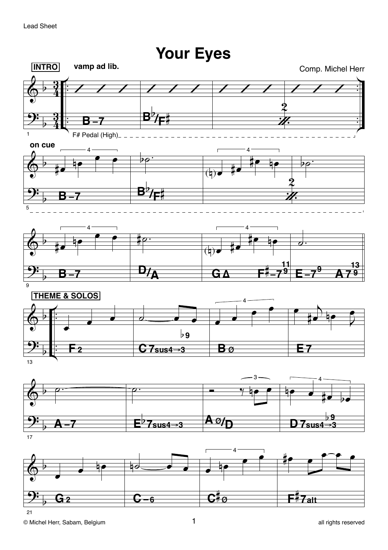vamp ad lib. **INTRO** Comp. Michel Herr 3 B B F# Pedal (High)\_  $\overline{1}$ on cue  $\lambda$  $\overline{\mathbf{A}}$  $\overline{1}$ ₩, B  $\overline{4}$ 4 ╆  $\frac{13}{479}$  $D/\overline{A}$ GΔ **THEME & SOLOS**  $\flat$ 9  $C7sus4 \rightarrow 3$  $B\phi$ E7 F 2  $13$  $\overline{\mathbf{A}\mathfrak{o}_{\ell}}$ D 7sus4→3 <del>7sus4⇒3</del> Ą- $17$  $\overline{\mathbf{4}}$ F<sup>#</sup>7a⊞  $\mathbf{G}^{\sharp}\mathfrak{g}$  $\mathbf{C}\text{-}\mathbf{6}$ G 2

## $21$

**Your Eyes**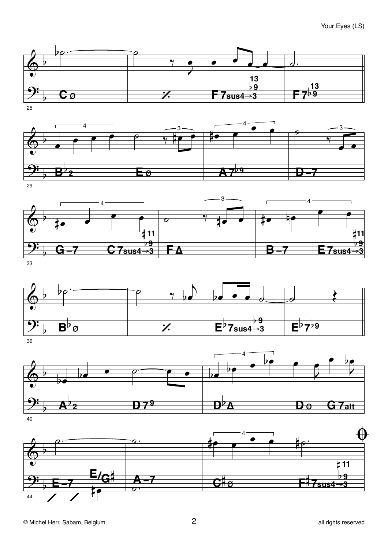

 $\overline{25}$ 



- 3  $\overline{\mathbf{A}}$  $\overline{\mathbf{4}}$  $#11$ #11 <u>b9</u>  $\flat$ 9  $C7$ sus $4 \rightarrow 3$  $B - 7$ FΔ  $E7$ sus $4\rightarrow 3$ G—7  $33$ 



 $\overline{36}$ 



40